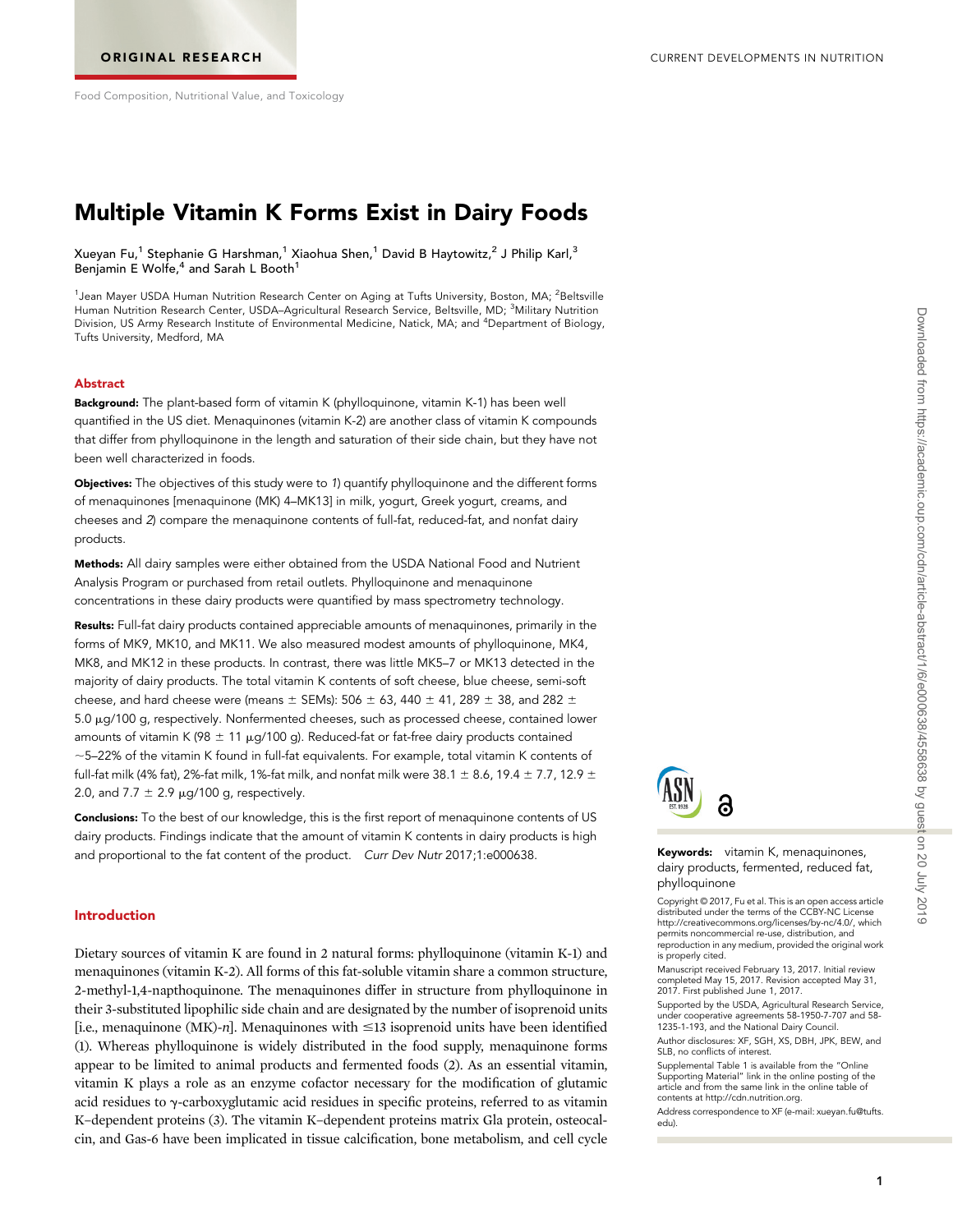# Multiple Vitamin K Forms Exist in Dairy Foods

Xueyan Fu,<sup>1</sup> Stephanie G Harshman,<sup>1</sup> Xiaohua Shen,<sup>1</sup> David B Haytowitz,<sup>2</sup> J Philip Karl,<sup>3</sup> Benjamin E Wolfe,<sup>4</sup> and Sarah L Booth<sup>1</sup>

<sup>1</sup>Jean Mayer USDA Human Nutrition Research Center on Aging at Tufts University, Boston, MA; <sup>2</sup>Beltsville Human Nutrition Research Center, USDA-Agricultural Research Service, Beltsville, MD; <sup>3</sup>Military Nutrition Division, US Army Research Institute of Environmental Medicine, Natick, MA; and <sup>4</sup>Department of Biology, Tufts University, Medford, MA

#### Abstract

Background: The plant-based form of vitamin K (phylloquinone, vitamin K-1) has been well quantified in the US diet. Menaquinones (vitamin K-2) are another class of vitamin K compounds that differ from phylloquinone in the length and saturation of their side chain, but they have not been well characterized in foods.

**Objectives:** The objectives of this study were to 1) quantify phylloquinone and the different forms of menaquinones [menaquinone (MK) 4–MK13] in milk, yogurt, Greek yogurt, creams, and cheeses and 2) compare the menaquinone contents of full-fat, reduced-fat, and nonfat dairy products.

Methods: All dairy samples were either obtained from the USDA National Food and Nutrient Analysis Program or purchased from retail outlets. Phylloquinone and menaquinone concentrations in these dairy products were quantified by mass spectrometry technology.

Results: Full-fat dairy products contained appreciable amounts of menaquinones, primarily in the forms of MK9, MK10, and MK11. We also measured modest amounts of phylloquinone, MK4, MK8, and MK12 in these products. In contrast, there was little MK5–7 or MK13 detected in the majority of dairy products. The total vitamin K contents of soft cheese, blue cheese, semi-soft cheese, and hard cheese were (means  $\pm$  SEMs): 506  $\pm$  63, 440  $\pm$  41, 289  $\pm$  38, and 282  $\pm$ 5.0 mg/100 g, respectively. Nonfermented cheeses, such as processed cheese, contained lower amounts of vitamin K (98  $\pm$  11 µg/100 g). Reduced-fat or fat-free dairy products contained  $\sim$  5–22% of the vitamin K found in full-fat equivalents. For example, total vitamin K contents of full-fat milk (4% fat), 2%-fat milk, 1%-fat milk, and nonfat milk were 38.1  $\pm$  8.6, 19.4  $\pm$  7.7, 12.9  $\pm$ 2.0, and 7.7  $\pm$  2.9 µg/100 g, respectively.

Conclusions: To the best of our knowledge, this is the first report of menaquinone contents of US dairy products. Findings indicate that the amount of vitamin K contents in dairy products is high and proportional to the fat content of the product. Curr Dev Nutr 2017;1:e000638.

#### Introduction

Dietary sources of vitamin K are found in 2 natural forms: phylloquinone (vitamin K-1) and menaquinones (vitamin K-2). All forms of this fat-soluble vitamin share a common structure, 2-methyl-1,4-napthoquinone. The menaquinones differ in structure from phylloquinone in their 3-substituted lipophilic side chain and are designated by the number of isoprenoid units [i.e., menaquinone (MK)-n]. Menaquinones with  $\leq$ 13 isoprenoid units have been identified (1). Whereas phylloquinone is widely distributed in the food supply, menaquinone forms appear to be limited to animal products and fermented foods (2). As an essential vitamin, vitamin K plays a role as an enzyme cofactor necessary for the modification of glutamic acid residues to  $\gamma$ -carboxyglutamic acid residues in specific proteins, referred to as vitamin K–dependent proteins (3). The vitamin K–dependent proteins matrix Gla protein, osteocalcin, and Gas-6 have been implicated in tissue calcification, bone metabolism, and cell cycle



Keywords: vitamin K, menaquinones, dairy products, fermented, reduced fat, phylloquinone

Copyright © 2017, Fu et al. This is an open access article distributed under the terms of the CCBY-NC License http://creativecommons.org/licenses/by-nc/4.0/, which permits noncommercial re-use, distribution, and reproduction in any medium, provided the original work is properly cited.

Manuscript received February 13, 2017. Initial review completed May 15, 2017. Revision accepted May 31, 2017. First published June 1, 2017.

Supported by the USDA, Agricultural Research Service, under cooperative agreements 58-1950-7-707 and 58- 1235-1-193, and the National Dairy Council.

Author disclosures: XF, SGH, XS, DBH, JPK, BEW, and SLB, no conflicts of interest.

Supplemental Table 1 is available from the "Online Supporting Material" link in the online posting of the article and from the same link in the online table of contents at http://cdn.nutrition.org.

Address correspondence to XF (e-mail: xueyan.fu@tufts. edu).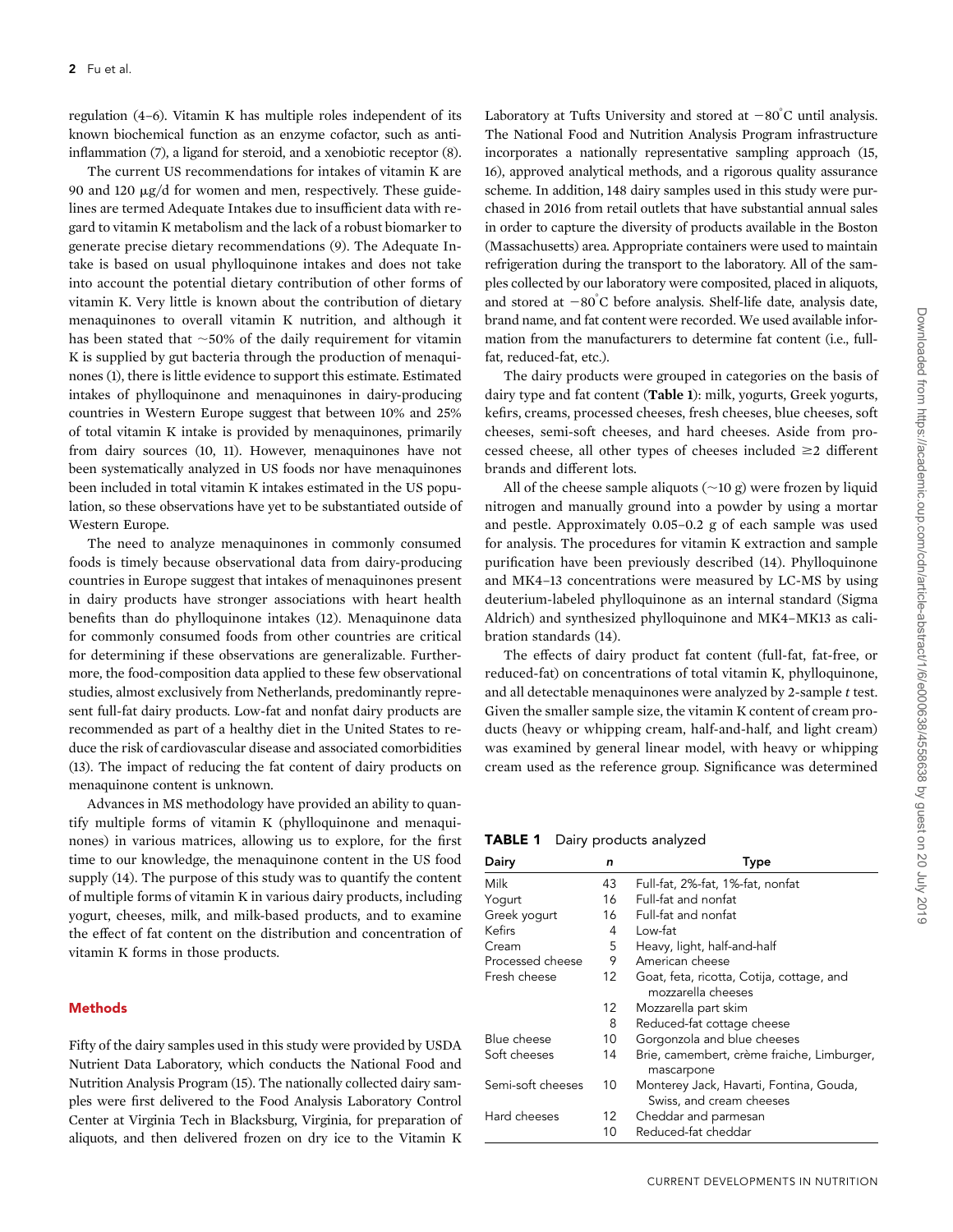regulation (4–6). Vitamin K has multiple roles independent of its known biochemical function as an enzyme cofactor, such as antiinflammation (7), a ligand for steroid, and a xenobiotic receptor (8).

The current US recommendations for intakes of vitamin K are 90 and 120  $\mu$ g/d for women and men, respectively. These guidelines are termed Adequate Intakes due to insufficient data with regard to vitamin K metabolism and the lack of a robust biomarker to generate precise dietary recommendations (9). The Adequate Intake is based on usual phylloquinone intakes and does not take into account the potential dietary contribution of other forms of vitamin K. Very little is known about the contribution of dietary menaquinones to overall vitamin K nutrition, and although it has been stated that  $\sim$  50% of the daily requirement for vitamin K is supplied by gut bacteria through the production of menaquinones (1), there is little evidence to support this estimate. Estimated intakes of phylloquinone and menaquinones in dairy-producing countries in Western Europe suggest that between 10% and 25% of total vitamin K intake is provided by menaquinones, primarily from dairy sources (10, 11). However, menaquinones have not been systematically analyzed in US foods nor have menaquinones been included in total vitamin K intakes estimated in the US population, so these observations have yet to be substantiated outside of Western Europe.

The need to analyze menaquinones in commonly consumed foods is timely because observational data from dairy-producing countries in Europe suggest that intakes of menaquinones present in dairy products have stronger associations with heart health benefits than do phylloquinone intakes (12). Menaquinone data for commonly consumed foods from other countries are critical for determining if these observations are generalizable. Furthermore, the food-composition data applied to these few observational studies, almost exclusively from Netherlands, predominantly represent full-fat dairy products. Low-fat and nonfat dairy products are recommended as part of a healthy diet in the United States to reduce the risk of cardiovascular disease and associated comorbidities (13). The impact of reducing the fat content of dairy products on menaquinone content is unknown.

Advances in MS methodology have provided an ability to quantify multiple forms of vitamin K (phylloquinone and menaquinones) in various matrices, allowing us to explore, for the first time to our knowledge, the menaquinone content in the US food supply (14). The purpose of this study was to quantify the content of multiple forms of vitamin K in various dairy products, including yogurt, cheeses, milk, and milk-based products, and to examine the effect of fat content on the distribution and concentration of vitamin K forms in those products.

#### Methods

Fifty of the dairy samples used in this study were provided by USDA Nutrient Data Laboratory, which conducts the National Food and Nutrition Analysis Program (15). The nationally collected dairy samples were first delivered to the Food Analysis Laboratory Control Center at Virginia Tech in Blacksburg, Virginia, for preparation of aliquots, and then delivered frozen on dry ice to the Vitamin K

Laboratory at Tufts University and stored at  $-80^{\circ}$ C until analysis. The National Food and Nutrition Analysis Program infrastructure incorporates a nationally representative sampling approach (15, 16), approved analytical methods, and a rigorous quality assurance scheme. In addition, 148 dairy samples used in this study were purchased in 2016 from retail outlets that have substantial annual sales in order to capture the diversity of products available in the Boston (Massachusetts) area. Appropriate containers were used to maintain refrigeration during the transport to the laboratory. All of the samples collected by our laboratory were composited, placed in aliquots, and stored at  $-80^{\circ}$ C before analysis. Shelf-life date, analysis date, brand name, and fat content were recorded. We used available information from the manufacturers to determine fat content (i.e., fullfat, reduced-fat, etc.).

The dairy products were grouped in categories on the basis of dairy type and fat content (Table 1): milk, yogurts, Greek yogurts, kefirs, creams, processed cheeses, fresh cheeses, blue cheeses, soft cheeses, semi-soft cheeses, and hard cheeses. Aside from processed cheese, all other types of cheeses included  $\geq 2$  different brands and different lots.

All of the cheese sample aliquots  $(\sim 10 \text{ g})$  were frozen by liquid nitrogen and manually ground into a powder by using a mortar and pestle. Approximately 0.05–0.2 g of each sample was used for analysis. The procedures for vitamin K extraction and sample purification have been previously described (14). Phylloquinone and MK4–13 concentrations were measured by LC-MS by using deuterium-labeled phylloquinone as an internal standard (Sigma Aldrich) and synthesized phylloquinone and MK4–MK13 as calibration standards (14).

The effects of dairy product fat content (full-fat, fat-free, or reduced-fat) on concentrations of total vitamin K, phylloquinone, and all detectable menaquinones were analyzed by 2-sample t test. Given the smaller sample size, the vitamin K content of cream products (heavy or whipping cream, half-and-half, and light cream) was examined by general linear model, with heavy or whipping cream used as the reference group. Significance was determined

## TABLE 1 Dairy products analyzed

| n  | Type                                                                |
|----|---------------------------------------------------------------------|
| 43 | Full-fat, 2%-fat, 1%-fat, nonfat                                    |
| 16 | Full-fat and nonfat                                                 |
| 16 | Full-fat and nonfat                                                 |
| 4  | Low-fat                                                             |
| 5  | Heavy, light, half-and-half                                         |
| 9  | American cheese                                                     |
| 12 | Goat, feta, ricotta, Cotija, cottage, and<br>mozzarella cheeses     |
| 12 | Mozzarella part skim                                                |
| 8  | Reduced-fat cottage cheese                                          |
| 10 | Gorgonzola and blue cheeses                                         |
| 14 | Brie, camembert, crème fraiche, Limburger,<br>mascarpone            |
| 10 | Monterey Jack, Havarti, Fontina, Gouda,<br>Swiss, and cream cheeses |
| 12 | Cheddar and parmesan                                                |
| 10 | Reduced-fat cheddar                                                 |
|    |                                                                     |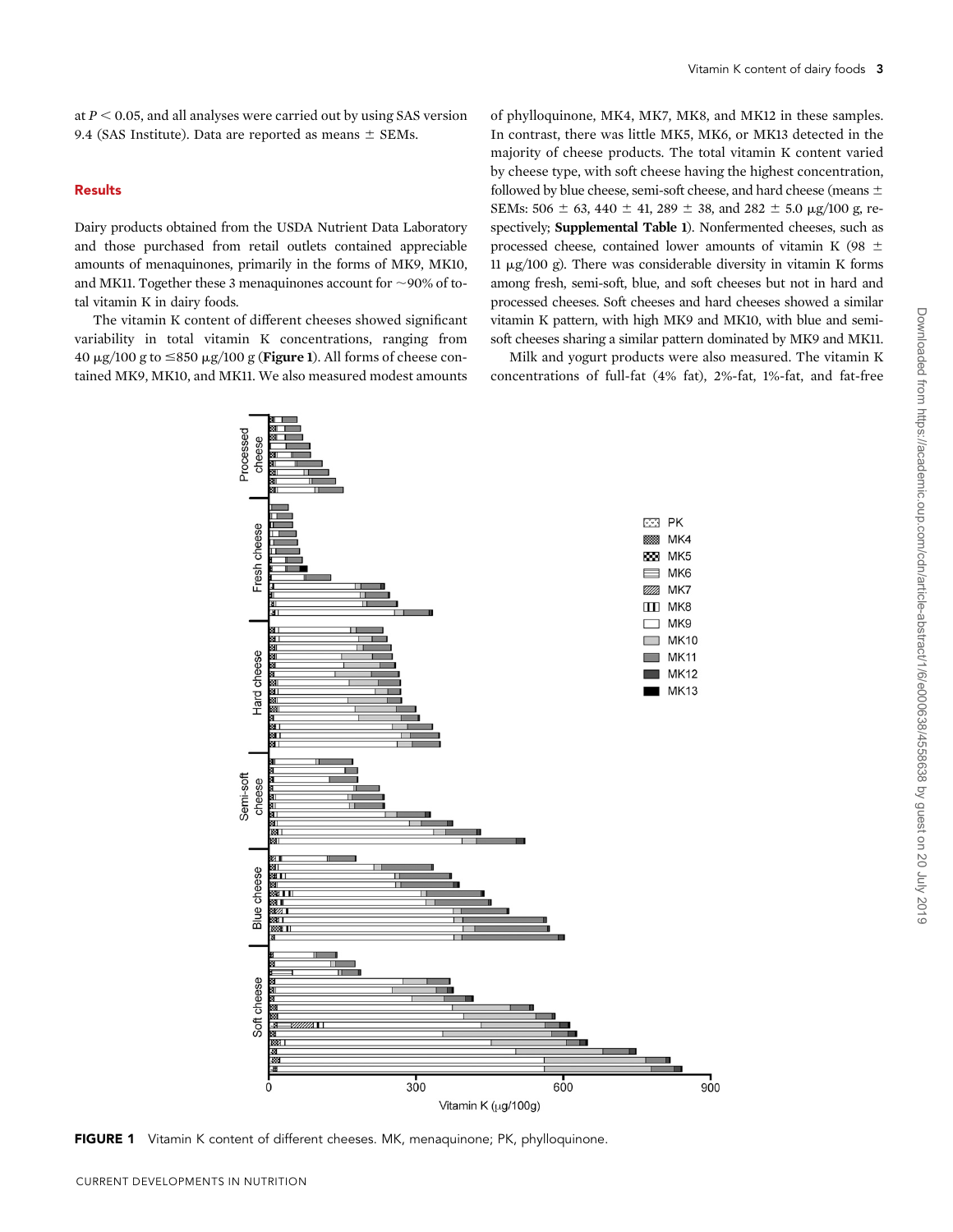at  $P \le 0.05$ , and all analyses were carried out by using SAS version 9.4 (SAS Institute). Data are reported as means  $\pm$  SEMs.

### **Results**

Dairy products obtained from the USDA Nutrient Data Laboratory and those purchased from retail outlets contained appreciable amounts of menaquinones, primarily in the forms of MK9, MK10, and MK11. Together these 3 menaquinones account for  $\sim$ 90% of total vitamin K in dairy foods.

The vitamin K content of different cheeses showed significant variability in total vitamin K concentrations, ranging from 40  $\mu$ g/100 g to  $\leq$ 850  $\mu$ g/100 g (**Figure 1**). All forms of cheese contained MK9, MK10, and MK11. We also measured modest amounts

of phylloquinone, MK4, MK7, MK8, and MK12 in these samples. In contrast, there was little MK5, MK6, or MK13 detected in the majority of cheese products. The total vitamin K content varied by cheese type, with soft cheese having the highest concentration, followed by blue cheese, semi-soft cheese, and hard cheese (means  $\pm$ SEMs: 506  $\pm$  63, 440  $\pm$  41, 289  $\pm$  38, and 282  $\pm$  5.0 µg/100 g, respectively; Supplemental Table 1). Nonfermented cheeses, such as processed cheese, contained lower amounts of vitamin K (98  $\pm$ 11  $\mu$ g/100 g). There was considerable diversity in vitamin K forms among fresh, semi-soft, blue, and soft cheeses but not in hard and processed cheeses. Soft cheeses and hard cheeses showed a similar vitamin K pattern, with high MK9 and MK10, with blue and semisoft cheeses sharing a similar pattern dominated by MK9 and MK11.

Milk and yogurt products were also measured. The vitamin K concentrations of full-fat (4% fat), 2%-fat, 1%-fat, and fat-free



FIGURE 1 Vitamin K content of different cheeses. MK, menaquinone; PK, phylloquinone.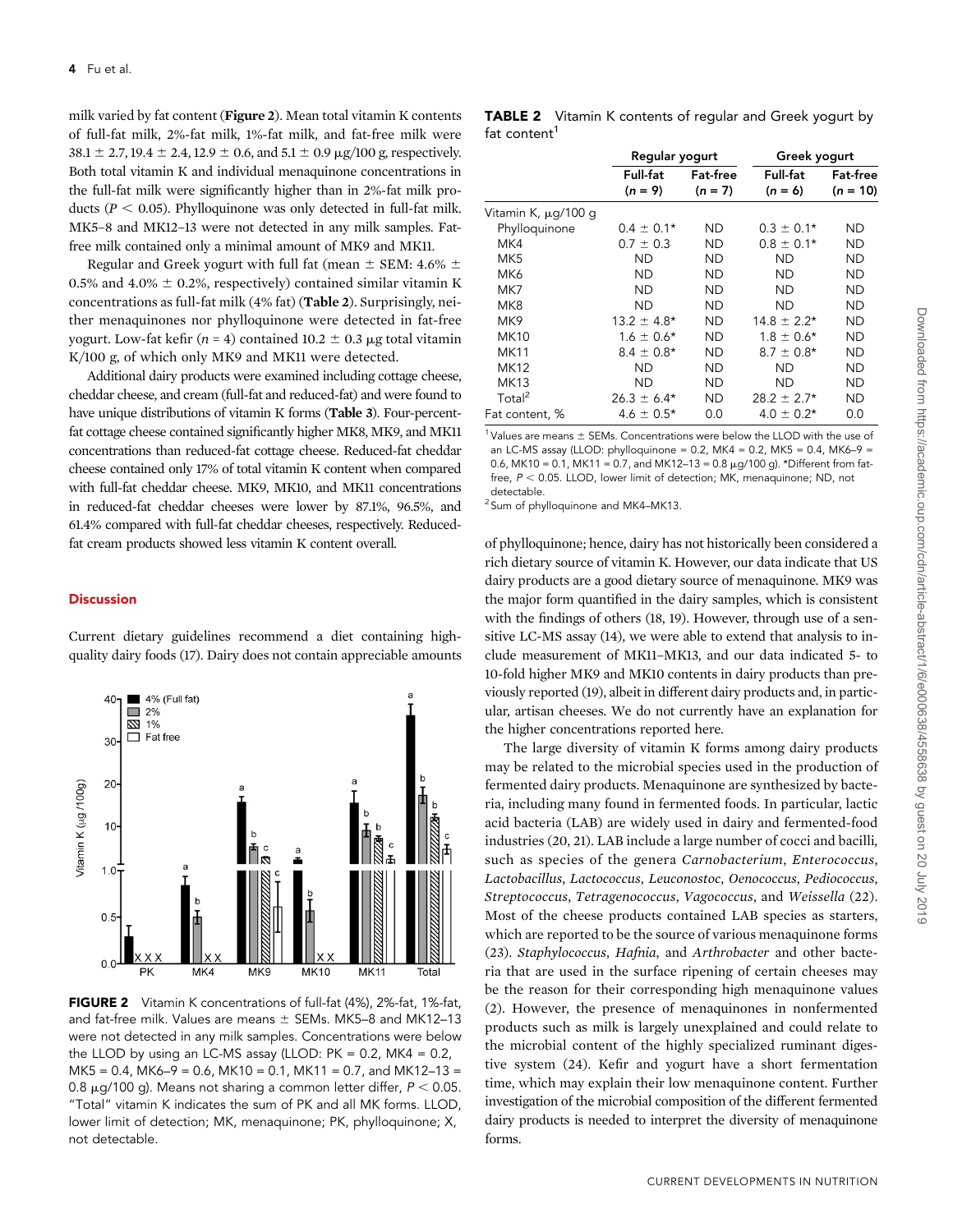milk varied by fat content (Figure 2). Mean total vitamin K contents of full-fat milk, 2%-fat milk, 1%-fat milk, and fat-free milk were  $38.1 \pm 2.7$ ,  $19.4 \pm 2.4$ ,  $12.9 \pm 0.6$ , and  $5.1 \pm 0.9$   $\mu$ g/100 g, respectively. Both total vitamin K and individual menaquinone concentrations in the full-fat milk were significantly higher than in 2%-fat milk products ( $P < 0.05$ ). Phylloquinone was only detected in full-fat milk. MK5–8 and MK12–13 were not detected in any milk samples. Fatfree milk contained only a minimal amount of MK9 and MK11.

Regular and Greek yogurt with full fat (mean  $\pm$  SEM: 4.6%  $\pm$ 0.5% and 4.0%  $\pm$  0.2%, respectively) contained similar vitamin K concentrations as full-fat milk (4% fat) (Table 2). Surprisingly, neither menaquinones nor phylloquinone were detected in fat-free yogurt. Low-fat kefir (n = 4) contained 10.2  $\pm$  0.3 µg total vitamin K/100 g, of which only MK9 and MK11 were detected.

Additional dairy products were examined including cottage cheese, cheddar cheese, and cream (full-fat and reduced-fat) and were found to have unique distributions of vitamin K forms (Table 3). Four-percentfat cottage cheese contained significantly higher MK8, MK9, and MK11 concentrations than reduced-fat cottage cheese. Reduced-fat cheddar cheese contained only 17% of total vitamin K content when compared with full-fat cheddar cheese. MK9, MK10, and MK11 concentrations in reduced-fat cheddar cheeses were lower by 87.1%, 96.5%, and 61.4% compared with full-fat cheddar cheeses, respectively. Reducedfat cream products showed less vitamin K content overall.

#### **Discussion**

Current dietary guidelines recommend a diet containing highquality dairy foods (17). Dairy does not contain appreciable amounts



FIGURE 2 Vitamin K concentrations of full-fat (4%), 2%-fat, 1%-fat, and fat-free milk. Values are means  $\pm$  SEMs. MK5–8 and MK12–13 were not detected in any milk samples. Concentrations were below the LLOD by using an LC-MS assay (LLOD: PK = 0.2, MK4 = 0.2,  $MK5 = 0.4$ , MK6-9 = 0.6, MK10 = 0.1, MK11 = 0.7, and MK12-13 = 0.8  $\mu$ g/100 g). Means not sharing a common letter differ,  $P < 0.05$ . "Total" vitamin K indicates the sum of PK and all MK forms. LLOD, lower limit of detection; MK, menaquinone; PK, phylloquinone; X, not detectable.

**TABLE 2** Vitamin K contents of regular and Greek yogurt by fat content<sup>1</sup>

|                     | Regular yogurt               |                       | Greek yogurt          |                               |
|---------------------|------------------------------|-----------------------|-----------------------|-------------------------------|
|                     | <b>Full-fat</b><br>$(n = 9)$ | Fat-free<br>$(n = 7)$ | Full-fat<br>$(n = 6)$ | <b>Fat-free</b><br>$(n = 10)$ |
| Vitamin K, µg/100 g |                              |                       |                       |                               |
| Phylloquinone       | $0.4 \pm 0.1*$               | ND.                   | $0.3 \pm 0.1*$        | ND.                           |
| MK4                 | $0.7 \pm 0.3$                | ND.                   | $0.8 \pm 0.1*$        | ND                            |
| MK5                 | ND                           | ND.                   | <b>ND</b>             | ND.                           |
| MK6                 | ND                           | ND.                   | ND.                   | ND                            |
| MK7                 | ND                           | ND.                   | <b>ND</b>             | ND.                           |
| MK <sub>8</sub>     | ND                           | ND.                   | <b>ND</b>             | ND.                           |
| MK9                 | $13.2 \pm 4.8^*$             | ND.                   | $14.8 \pm 2.2*$       | ND.                           |
| <b>MK10</b>         | $1.6 \pm 0.6*$               | ND.                   | $1.8 \pm 0.6*$        | ND.                           |
| MK11                | $8.4 \pm 0.8*$               | ND.                   | $8.7 \pm 0.8^*$       | ND.                           |
| MK12                | ND                           | ND.                   | <b>ND</b>             | ND.                           |
| <b>MK13</b>         | ND                           | ND.                   | <b>ND</b>             | ND                            |
| Total <sup>2</sup>  | $26.3 \pm 6.4*$              | ND.                   | $28.2 \pm 2.7*$       | ND.                           |
| Fat content, %      | $4.6 \pm 0.5*$               | 0.0                   | $4.0 \pm 0.2*$        | 0.0                           |

<sup>1</sup> Values are means  $\pm$  SEMs. Concentrations were below the LLOD with the use of an LC-MS assay (LLOD: phylloquinone = 0.2, MK4 = 0.2, MK5 = 0.4, MK6-9 = 0.6, MK10 = 0.1, MK11 = 0.7, and MK12-13 = 0.8  $\mu$ g/100 g). \*Different from fatfree,  $P < 0.05$ . LLOD, lower limit of detection; MK, menaquinone; ND, not detectable.

<sup>2</sup> Sum of phylloquinone and MK4-MK13.

of phylloquinone; hence, dairy has not historically been considered a rich dietary source of vitamin K. However, our data indicate that US dairy products are a good dietary source of menaquinone. MK9 was the major form quantified in the dairy samples, which is consistent with the findings of others (18, 19). However, through use of a sensitive LC-MS assay (14), we were able to extend that analysis to include measurement of MK11–MK13, and our data indicated 5- to 10-fold higher MK9 and MK10 contents in dairy products than previously reported (19), albeit in different dairy products and, in particular, artisan cheeses. We do not currently have an explanation for the higher concentrations reported here.

The large diversity of vitamin K forms among dairy products may be related to the microbial species used in the production of fermented dairy products. Menaquinone are synthesized by bacteria, including many found in fermented foods. In particular, lactic acid bacteria (LAB) are widely used in dairy and fermented-food industries (20, 21). LAB include a large number of cocci and bacilli, such as species of the genera Carnobacterium, Enterococcus, Lactobacillus, Lactococcus, Leuconostoc, Oenococcus, Pediococcus, Streptococcus, Tetragenococcus, Vagococcus, and Weissella (22). Most of the cheese products contained LAB species as starters, which are reported to be the source of various menaquinone forms (23). Staphylococcus, Hafnia, and Arthrobacter and other bacteria that are used in the surface ripening of certain cheeses may be the reason for their corresponding high menaquinone values (2). However, the presence of menaquinones in nonfermented products such as milk is largely unexplained and could relate to the microbial content of the highly specialized ruminant digestive system (24). Kefir and yogurt have a short fermentation time, which may explain their low menaquinone content. Further investigation of the microbial composition of the different fermented dairy products is needed to interpret the diversity of menaquinone forms.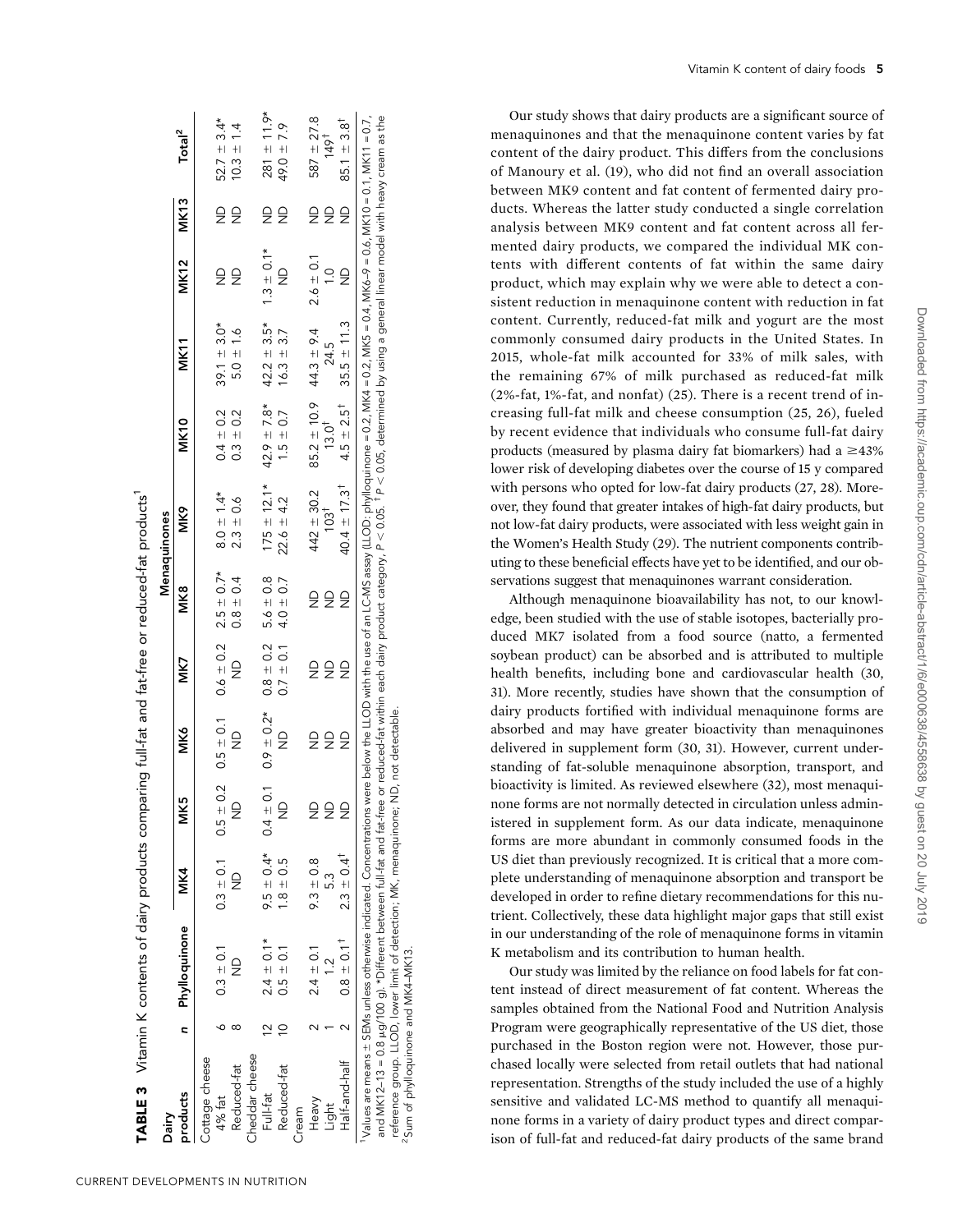| Dairγ          |                |                                                                                                                                                                                                                                                                                                                                                                                                                                       |                            |                             |                                           |                         |                              | Menaquinones                 |                                |                                         |                         |                                 |                             |
|----------------|----------------|---------------------------------------------------------------------------------------------------------------------------------------------------------------------------------------------------------------------------------------------------------------------------------------------------------------------------------------------------------------------------------------------------------------------------------------|----------------------------|-----------------------------|-------------------------------------------|-------------------------|------------------------------|------------------------------|--------------------------------|-----------------------------------------|-------------------------|---------------------------------|-----------------------------|
| products       |                | n Phylloquinone                                                                                                                                                                                                                                                                                                                                                                                                                       | MK4                        | Κ5                          | MK6                                       | MK7                     | MK8                          | MK9                          | <b>MK10</b>                    | <b>MK11</b>                             | <b>MK12</b>             | <b>MK13</b>                     | Total <sup>2</sup>          |
| Cottage cheese |                |                                                                                                                                                                                                                                                                                                                                                                                                                                       |                            |                             |                                           |                         |                              |                              |                                |                                         |                         |                                 |                             |
| 4% fat         |                | $0.3 \pm 0.1$                                                                                                                                                                                                                                                                                                                                                                                                                         |                            |                             | $0.3 \pm 0.1$ $0.5 \pm 0.2$ $0.5 \pm 0.1$ |                         | $0.6 \pm 0.2$ $2.5 \pm 0.7*$ | $8.0 \pm 1.4*$               | $0.4 \pm 0.2$                  | $39.1 \pm 3.0*$                         | $\frac{\Omega}{Z}$      | $\frac{1}{2}$                   | $52.7 \pm 3.4*$             |
| Reduced-fat    |                | $\frac{\circ}{\circ}$                                                                                                                                                                                                                                                                                                                                                                                                                 | $\frac{1}{2}$              | $\frac{1}{2}$               | $\frac{\Omega}{Z}$                        | g                       | $0.8 + 0.4$                  | $2.3 \pm 0.6$                | $0.3 + 0.2$                    | $5.0 \pm 1.6$                           | $\frac{\Omega}{\Sigma}$ | $\frac{\mathsf{D}}{\mathsf{D}}$ | $10.3 \pm 1.4$              |
| Cheddar cheese |                |                                                                                                                                                                                                                                                                                                                                                                                                                                       |                            |                             |                                           |                         |                              |                              |                                |                                         |                         |                                 |                             |
| Full-fat       | $\overline{2}$ | $2.4 \pm 0.1*$                                                                                                                                                                                                                                                                                                                                                                                                                        |                            | $9.5 \pm 0.4$ $0.4 \pm 0.1$ | $0.9 \pm 0.2$ *                           | $0.8 + 0.2$             | $5.6 \pm 0.8$                | $175 \pm 12.1*$              | $42.9 \pm 7.8*$                | $42.2 \pm 3.5*$                         | $1.3 \pm 0.1*$          | g                               | $281 \pm 11.9*$             |
| Reduced-fat    |                | $0.5 \pm 0.1$                                                                                                                                                                                                                                                                                                                                                                                                                         | $1.8 \pm 0.5$              | $\triangle$<br>Z            | $\supseteq$                               | $0.7 \pm 0.1$           | $4.0 \pm 0.7$                | $22.6 \pm 4.2$               | $1.5 \pm 0.7$                  | $16.3 \pm 3.7$                          | $\triangleq$            | g                               | 49.0 $\pm$ 7.9              |
| Cream          |                |                                                                                                                                                                                                                                                                                                                                                                                                                                       |                            |                             |                                           |                         |                              |                              |                                |                                         |                         |                                 |                             |
| Heavy          |                | $2.4 \pm 0.1$                                                                                                                                                                                                                                                                                                                                                                                                                         | $9.3 \pm 0.8$              | $\frac{\Omega}{\Sigma}$     | $\frac{\Omega}{Z}$                        | $\frac{1}{2}$           | $\frac{\Omega}{Z}$           | $442 \pm 30.2$               | $85.2 \pm 10.9$ 44.3 $\pm$ 9.4 |                                         | $2.6 \pm 0.1$           | $\frac{1}{2}$                   | $587 \pm 27.8$              |
| Light          |                |                                                                                                                                                                                                                                                                                                                                                                                                                                       | .<br>თ<br>ი                | $\frac{1}{2}$               | $\frac{\Omega}{Z}$                        | $\frac{\Omega}{\Sigma}$ | $\frac{\Omega}{Z}$           | $103^{+}$                    | $13.0^{+}$                     | 24.5                                    | $\frac{1}{2}$           | $\frac{\Omega}{\Sigma}$         | $149^{\dagger}$             |
| Half-and-half  |                | $0.8 \pm 0.1$ <sup>+</sup>                                                                                                                                                                                                                                                                                                                                                                                                            | $2.3 \pm 0.4$ <sup>†</sup> |                             | $\frac{0}{2}$                             | $\frac{1}{2}$           | $\frac{1}{2}$                | $40.4 \pm 17.3$ <sup>t</sup> |                                | $4.5 \pm 2.5^{\dagger}$ 35.5 $\pm$ 11.3 | $\frac{1}{2}$           | $\frac{\Omega}{\Sigma}$         | $85.1 \pm 3.8$ <sup>+</sup> |
|                |                | and MK12−13 = 0.8 µ.9/100 g). *Different between full-fat and fat-free or reduced-fat within each dairy product category, P < 0.05. ↑P < 0.05, determined by using a general linear model with heavy cream as the<br>Values are means $\pm$ SEMs unless otherwise indicated. Concentrations were below the LLOD with the use of an LC-MS assay (LLOD: phylloquinone = 0.2, MK4 = 0.2, MK5 = 0.4, MK6-9 = 0.6, MK10 = 0.7, MK11 = 0.7, |                            |                             |                                           |                         |                              |                              |                                |                                         |                         |                                 |                             |
|                |                | reference group. LLOD, lower limit of detection; MK, menaquinone; ND, not detectable.                                                                                                                                                                                                                                                                                                                                                 |                            |                             |                                           |                         |                              |                              |                                |                                         |                         |                                 |                             |

CURRENT DEVELOPMENTS IN NUTRITION

 $\scriptstyle\sim$ 

Sum of phylloquinone and MK4–MK13.

Sum of phylloquinone and MK4-MK13.

Our study shows that dairy products are a significant source of menaquinones and that the menaquinone content varies by fat content of the dairy product. This differs from the conclusions of Manoury et al. (19), who did not find an overall association between MK9 content and fat content of fermented dairy products. Whereas the latter study conducted a single correlation analysis between MK9 content and fat content across all fermented dairy products, we compared the individual MK contents with different contents of fat within the same dairy product, which may explain why we were able to detect a consistent reduction in menaquinone content with reduction in fat content. Currently, reduced-fat milk and yogurt are the most commonly consumed dairy products in the United States. In 2015, whole-fat milk accounted for 33% of milk sales, with the remaining 67% of milk purchased as reduced-fat milk (2%-fat, 1%-fat, and nonfat) (25). There is a recent trend of increasing full-fat milk and cheese consumption (25, 26), fueled by recent evidence that individuals who consume full-fat dairy products (measured by plasma dairy fat biomarkers) had a  $\geq$ 43% lower risk of developing diabetes over the course of 15 y compared with persons who opted for low-fat dairy products (27, 28). Moreover, they found that greater intakes of high-fat dairy products, but not low-fat dairy products, were associated with less weight gain in the Women's Health Study (29). The nutrient components contributing to these beneficial effects have yet to be identified, and our observations suggest that menaquinones warrant consideration. Although menaquinone bioavailability has not, to our knowledge, been studied with the use of stable isotopes, bacterially pro-

duced MK7 isolated from a food source (natto, a fermented soybean product) can be absorbed and is attributed to multiple health benefits, including bone and cardiovascular health (30, 31). More recently, studies have shown that the consumption of dairy products fortified with individual menaquinone forms are absorbed and may have greater bioactivity than menaquinones delivered in supplement form (30, 31). However, current understanding of fat-soluble menaquinone absorption, transport, and bioactivity is limited. As reviewed elsewhere (32), most menaquinone forms are not normally detected in circulation unless administered in supplement form. As our data indicate, menaquinone forms are more abundant in commonly consumed foods in the US diet than previously recognized. It is critical that a more complete understanding of menaquinone absorption and transport be developed in order to refine dietary recommendations for this nutrient. Collectively, these data highlight major gaps that still exist in our understanding of the role of menaquinone forms in vitamin K metabolism and its contribution to human health.

Our study was limited by the reliance on food labels for fat content instead of direct measurement of fat content. Whereas the samples obtained from the National Food and Nutrition Analysis Program were geographically representative of the US diet, those purchased in the Boston region were not. However, those purchased locally were selected from retail outlets that had national representation. Strengths of the study included the use of a highly sensitive and validated LC-MS method to quantify all menaquinone forms in a variety of dairy product types and direct comparison of full-fat and reduced-fat dairy products of the same brand